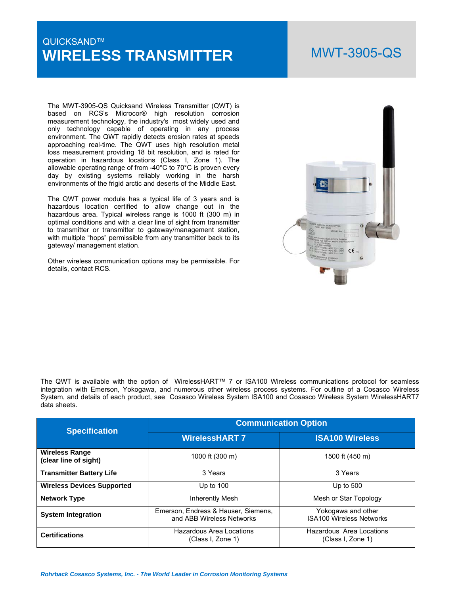# QUICKSAND™ **WIRELESS TRANSMITTER**

# MWT-3905-QS

The MWT-3905-QS Quicksand Wireless Transmitter (QWT) is based on RCS's Microcor® high resolution corrosion measurement technology, the industry's most widely used and only technology capable of operating in any process environment. The QWT rapidly detects erosion rates at speeds approaching real-time. The QWT uses high resolution metal loss measurement providing 18 bit resolution, and is rated for operation in hazardous locations (Class I, Zone 1). The allowable operating range of from -40°C to 70°C is proven every day by existing systems reliably working in the harsh environments of the frigid arctic and deserts of the Middle East.

The QWT power module has a typical life of 3 years and is hazardous location certified to allow change out in the hazardous area. Typical wireless range is 1000 ft (300 m) in optimal conditions and with a clear line of sight from transmitter to transmitter or transmitter to gateway/management station, with multiple "hops" permissible from any transmitter back to its gateway/ management station.

Other wireless communication options may be permissible. For details, contact RCS.



The QWT is available with the option of WirelessHART™ 7 or ISA100 Wireless communications protocol for seamless integration with Emerson, Yokogawa, and numerous other wireless process systems. For outline of a Cosasco Wireless System, and details of each product, see Cosasco Wireless System ISA100 and Cosasco Wireless System WirelessHART7 data sheets.

| <b>Specification</b>                           | <b>Communication Option</b>                                      |                                                       |  |  |  |  |
|------------------------------------------------|------------------------------------------------------------------|-------------------------------------------------------|--|--|--|--|
|                                                | <b>WirelessHART 7</b>                                            | <b>ISA100 Wireless</b>                                |  |  |  |  |
| <b>Wireless Range</b><br>(clear line of sight) | 1000 ft (300 m)                                                  | 1500 ft (450 m)                                       |  |  |  |  |
| <b>Transmitter Battery Life</b>                | 3 Years                                                          | 3 Years                                               |  |  |  |  |
| <b>Wireless Devices Supported</b>              | Up to $100$                                                      | Up to $500$                                           |  |  |  |  |
| <b>Network Type</b>                            | Inherently Mesh                                                  | Mesh or Star Topology                                 |  |  |  |  |
| <b>System Integration</b>                      | Emerson, Endress & Hauser, Siemens,<br>and ABB Wireless Networks | Yokogawa and other<br><b>ISA100 Wireless Networks</b> |  |  |  |  |
| <b>Certifications</b>                          | Hazardous Area Locations<br>(Class I, Zone 1)                    | Hazardous Area Locations<br>(Class I, Zone 1)         |  |  |  |  |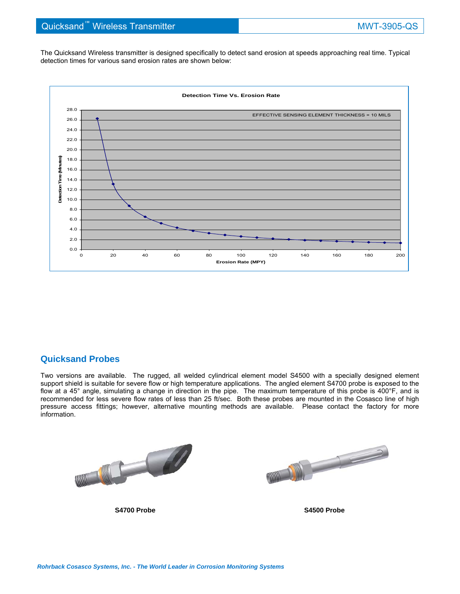The Quicksand Wireless transmitter is designed specifically to detect sand erosion at speeds approaching real time. Typical detection times for various sand erosion rates are shown below:



## **Quicksand Probes**

Two versions are available. The rugged, all welded cylindrical element model S4500 with a specially designed element support shield is suitable for severe flow or high temperature applications. The angled element S4700 probe is exposed to the flow at a 45° angle, simulating a change in direction in the pipe. The maximum temperature of this probe is 400°F, and is recommended for less severe flow rates of less than 25 ft/sec. Both these probes are mounted in the Cosasco line of high pressure access fittings; however, alternative mounting methods are available. Please contact the factory for more information.

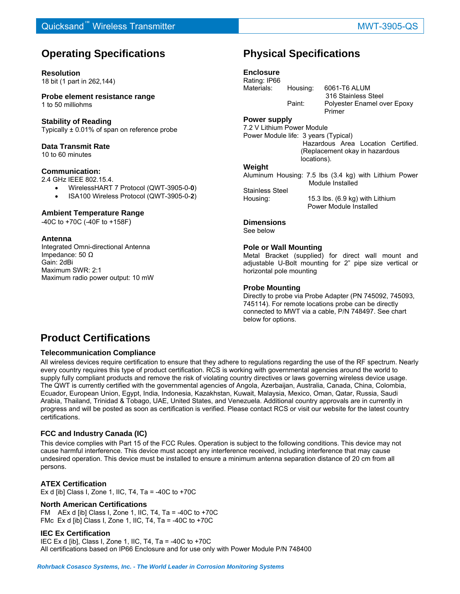# **Operating Specifications**

### **Resolution**

18 bit (1 part in 262,144)

**Probe element resistance range**  1 to 50 milliohms

### **Stability of Reading**

Typically ± 0.01% of span on reference probe

## **Data Transmit Rate**

10 to 60 minutes

### **Communication:**

2.4 GHz IEEE 802.15.4.

- WirelessHART 7 Protocol (QWT-3905-0-**0**)
- ISA100 Wireless Protocol (QWT-3905-0-**2**)

### **Ambient Temperature Range**

-40C to +70C (-40F to +158F)

### **Antenna**

Integrated Omni-directional Antenna Impedance: 50 Ω Gain: 2dBi Maximum SWR: 2:1 Maximum radio power output: 10 mW

# **Physical Specifications**

## **Enclosure**

Rating: IP66 Materials: Housing: 6061-T6 ALUM 316 Stainless Steel

 Paint: Polyester Enamel over Epoxy Primer

#### **Power supply**

7.2 V Lithium Power Module Power Module life: 3 years (Typical)

 Hazardous Area Location Certified. (Replacement okay in hazardous locations).

#### **Weight**

Aluminum Housing: 7.5 lbs (3.4 kg) with Lithium Power Module Installed

Stainless Steel Housing: 15.3 lbs. (6.9 kg) with Lithium Power Module Installed

## **Dimensions**

See below

### **Pole or Wall Mounting**

Metal Bracket (supplied) for direct wall mount and adjustable U-Bolt mounting for 2" pipe size vertical or horizontal pole mounting

### **Probe Mounting**

Directly to probe via Probe Adapter (PN 745092, 745093, 745114). For remote locations probe can be directly connected to MWT via a cable, P/N 748497. See chart below for options.

# **Product Certifications**

### **Telecommunication Compliance**

All wireless devices require certification to ensure that they adhere to regulations regarding the use of the RF spectrum. Nearly every country requires this type of product certification. RCS is working with governmental agencies around the world to supply fully compliant products and remove the risk of violating country directives or laws governing wireless device usage. The QWT is currently certified with the governmental agencies of Angola, Azerbaijan, Australia, Canada, China, Colombia, Ecuador, European Union, Egypt, India, Indonesia, Kazakhstan, Kuwait, Malaysia, Mexico, Oman, Qatar, Russia, Saudi Arabia, Thailand, Trinidad & Tobago, UAE, United States, and Venezuela. Additional country approvals are in currently in progress and will be posted as soon as certification is verified. Please contact RCS or visit our website for the latest country certifications.

### **FCC and Industry Canada (IC)**

This device complies with Part 15 of the FCC Rules. Operation is subject to the following conditions. This device may not cause harmful interference. This device must accept any interference received, including interference that may cause undesired operation. This device must be installed to ensure a minimum antenna separation distance of 20 cm from all persons.

### **ATEX Certification**

Ex d [ib] Class I, Zone 1, IIC, T4, Ta = -40C to +70C

### **North American Certifications**

FM AEx d [ib] Class I, Zone 1, IIC, T4, Ta =  $-40C$  to  $+70C$ FMc Ex d [ib] Class I, Zone 1, IIC, T4, Ta = -40C to +70C

### **IEC Ex Certification**

IEC Ex d [ib], Class I, Zone 1, IIC, T4, Ta = -40C to +70C All certifications based on IP66 Enclosure and for use only with Power Module P/N 748400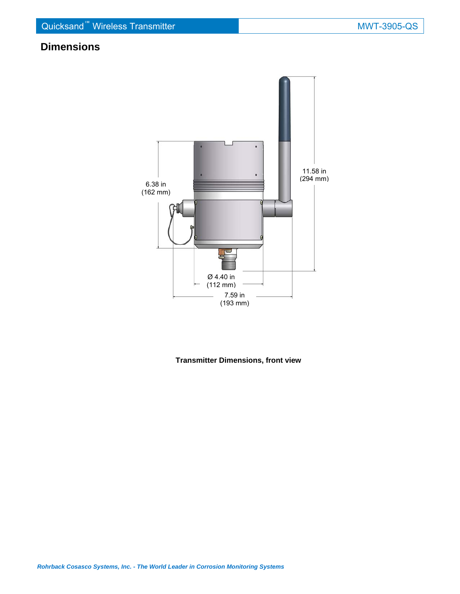# **Dimensions**



**Transmitter Dimensions, front view**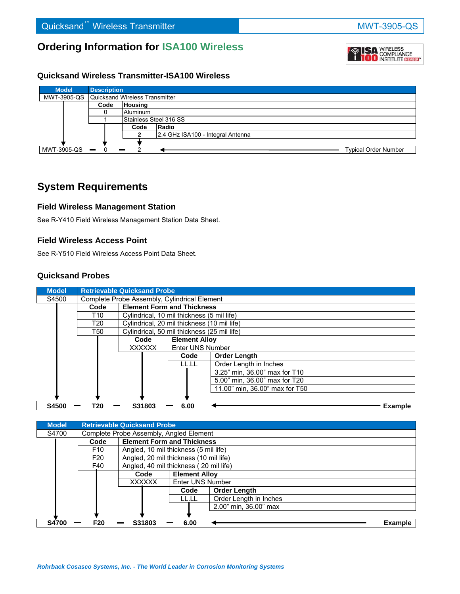# **Ordering Information for ISA100 Wireless**

## **Quicksand Wireless Transmitter-ISA100 Wireless**



# **System Requirements**

## **Field Wireless Management Station**

See R-Y410 Field Wireless Management Station Data Sheet.

## **Field Wireless Access Point**

See R-Y510 Field Wireless Access Point Data Sheet.

## **Quicksand Probes**

| <b>Model</b> | <b>Retrievable Quicksand Probe</b> |               |                                             |                                              |                                |  |  |  |
|--------------|------------------------------------|---------------|---------------------------------------------|----------------------------------------------|--------------------------------|--|--|--|
| S4500        |                                    |               |                                             | Complete Probe Assembly, Cylindrical Element |                                |  |  |  |
|              | Code                               |               | <b>Element Form and Thickness</b>           |                                              |                                |  |  |  |
|              | T10                                |               | Cylindrical, 10 mil thickness (5 mil life)  |                                              |                                |  |  |  |
|              | T20                                |               | Cylindrical, 20 mil thickness (10 mil life) |                                              |                                |  |  |  |
|              | T50                                |               | Cylindrical, 50 mil thickness (25 mil life) |                                              |                                |  |  |  |
|              | <b>Element Alloy</b><br>Code       |               |                                             |                                              |                                |  |  |  |
|              |                                    | <b>XXXXXX</b> |                                             | Enter UNS Number                             |                                |  |  |  |
|              |                                    |               |                                             | Code                                         | <b>Order Length</b>            |  |  |  |
|              |                                    |               |                                             | LL.LL                                        | Order Length in Inches         |  |  |  |
|              |                                    |               |                                             |                                              | 3.25" min, 36.00" max for T10  |  |  |  |
|              |                                    |               |                                             |                                              | 5.00" min, 36.00" max for T20  |  |  |  |
|              |                                    |               |                                             |                                              | 11.00" min. 36.00" max for T50 |  |  |  |
|              |                                    |               |                                             |                                              |                                |  |  |  |
| S4500        | T20                                |               | S31803                                      | 6.00                                         | <b>Example</b>                 |  |  |  |

| <b>Model</b> |                                         | <b>Retrievable Quicksand Probe</b>    |                                        |                        |         |  |  |
|--------------|-----------------------------------------|---------------------------------------|----------------------------------------|------------------------|---------|--|--|
| S4700        | Complete Probe Assembly, Angled Element |                                       |                                        |                        |         |  |  |
|              | Code                                    |                                       | <b>Element Form and Thickness</b>      |                        |         |  |  |
|              | F <sub>10</sub>                         | Angled, 10 mil thickness (5 mil life) |                                        |                        |         |  |  |
|              | F <sub>20</sub>                         |                                       | Angled, 20 mil thickness (10 mil life) |                        |         |  |  |
|              | F40                                     |                                       | Angled, 40 mil thickness (20 mil life) |                        |         |  |  |
|              |                                         | <b>Element Alloy</b><br>Code          |                                        |                        |         |  |  |
|              |                                         | <b>XXXXXX</b>                         | Enter UNS Number                       |                        |         |  |  |
|              |                                         |                                       | Code                                   | <b>Order Length</b>    |         |  |  |
|              |                                         |                                       | LL.LL                                  | Order Length in Inches |         |  |  |
|              |                                         |                                       |                                        | 2.00" min. 36.00" max  |         |  |  |
|              |                                         |                                       |                                        |                        |         |  |  |
| <b>S4700</b> | F <sub>20</sub>                         | S31803                                | 6.00                                   |                        | Example |  |  |



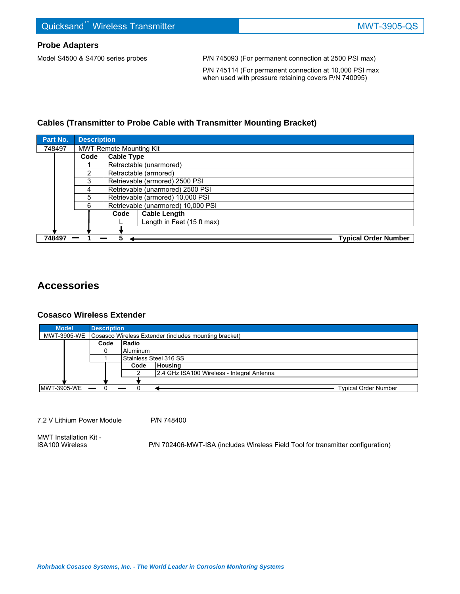## **Probe Adapters**

Model S4500 & S4700 series probes P/N 745093 (For permanent connection at 2500 PSI max)

 P/N 745114 (For permanent connection at 10,000 PSI max when used with pressure retaining covers P/N 740095)

## **Cables (Transmitter to Probe Cable with Transmitter Mounting Bracket)**

| Part No. | <b>Description</b>         |                                    |                         |                             |  |  |  |  |
|----------|----------------------------|------------------------------------|-------------------------|-----------------------------|--|--|--|--|
| 748497   |                            | <b>MWT Remote Mounting Kit</b>     |                         |                             |  |  |  |  |
|          | Code                       |                                    | <b>Cable Type</b>       |                             |  |  |  |  |
|          |                            |                                    | Retractable (unarmored) |                             |  |  |  |  |
|          | 2                          |                                    | Retractable (armored)   |                             |  |  |  |  |
|          | 3                          | Retrievable (armored) 2500 PSI     |                         |                             |  |  |  |  |
|          | 4                          | Retrievable (unarmored) 2500 PSI   |                         |                             |  |  |  |  |
|          | 5                          | Retrievable (armored) 10,000 PSI   |                         |                             |  |  |  |  |
|          | 6                          | Retrievable (unarmored) 10,000 PSI |                         |                             |  |  |  |  |
|          |                            | Code                               | <b>Cable Length</b>     |                             |  |  |  |  |
|          | Length in Feet (15 ft max) |                                    |                         |                             |  |  |  |  |
|          |                            |                                    |                         |                             |  |  |  |  |
| 748497   |                            |                                    |                         | <b>Typical Order Number</b> |  |  |  |  |

# **Accessories**

## **Cosasco Wireless Extender**

| <b>Model</b>      | <b>Description</b>                                                |                        |                                            |  |  |  |  |
|-------------------|-------------------------------------------------------------------|------------------------|--------------------------------------------|--|--|--|--|
|                   | MWT-3905-WE Cosasco Wireless Extender (includes mounting bracket) |                        |                                            |  |  |  |  |
|                   | Code                                                              | Radio                  |                                            |  |  |  |  |
|                   |                                                                   | Aluminum               |                                            |  |  |  |  |
|                   |                                                                   | Stainless Steel 316 SS |                                            |  |  |  |  |
|                   |                                                                   | Code                   | <b>Housing</b>                             |  |  |  |  |
|                   |                                                                   |                        | 2.4 GHz ISA100 Wireless - Integral Antenna |  |  |  |  |
|                   |                                                                   |                        |                                            |  |  |  |  |
| $MWT-3905-WE$ - 0 |                                                                   |                        | <b>Typical Order Number</b>                |  |  |  |  |

7.2 V Lithium Power Module P/N 748400

MWT Installation Kit -<br>ISA100 Wireless

P/N 702406-MWT-ISA (includes Wireless Field Tool for transmitter configuration)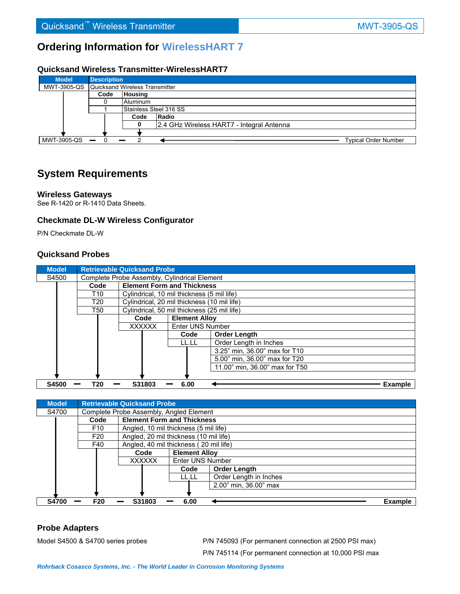# **Ordering Information for WirelessHART 7**

## **Quicksand Wireless Transmitter-WirelessHART7**

| <b>Model</b>                                 | <b>Description</b> |                |                                           |                             |  |  |  |
|----------------------------------------------|--------------------|----------------|-------------------------------------------|-----------------------------|--|--|--|
| MWT-3905-QS   Quicksand Wireless Transmitter |                    |                |                                           |                             |  |  |  |
|                                              | Code               | <b>Housing</b> |                                           |                             |  |  |  |
|                                              |                    | Aluminum       |                                           |                             |  |  |  |
|                                              |                    |                | Stainless Steel 316 SS                    |                             |  |  |  |
|                                              |                    | Code           | Radio                                     |                             |  |  |  |
|                                              |                    |                | 2.4 GHz Wireless HART7 - Integral Antenna |                             |  |  |  |
|                                              |                    |                |                                           |                             |  |  |  |
| $MWT-3905-QS$ $-$                            |                    |                |                                           | <b>Typical Order Number</b> |  |  |  |

# **System Requirements**

### **Wireless Gateways**

See R-1420 or R-1410 Data Sheets.

## **Checkmate DL-W Wireless Configurator**

P/N Checkmate DL-W

## **Quicksand Probes**

| <b>Model</b> |      | <b>Retrievable Quicksand Probe</b>           |                                             |                                |  |  |  |
|--------------|------|----------------------------------------------|---------------------------------------------|--------------------------------|--|--|--|
| S4500        |      | Complete Probe Assembly, Cylindrical Element |                                             |                                |  |  |  |
|              | Code |                                              | <b>Element Form and Thickness</b>           |                                |  |  |  |
|              | T10  |                                              | Cylindrical, 10 mil thickness (5 mil life)  |                                |  |  |  |
|              | T20  |                                              | Cylindrical, 20 mil thickness (10 mil life) |                                |  |  |  |
|              | T50  |                                              | Cylindrical, 50 mil thickness (25 mil life) |                                |  |  |  |
|              |      | Code                                         | <b>Element Allov</b>                        |                                |  |  |  |
|              |      | <b>XXXXXX</b>                                | Enter UNS Number                            |                                |  |  |  |
|              |      |                                              | Code                                        | <b>Order Length</b>            |  |  |  |
|              |      |                                              | LL.LL                                       | Order Length in Inches         |  |  |  |
|              |      |                                              |                                             | 3.25" min. 36.00" max for T10  |  |  |  |
|              |      |                                              |                                             | 5.00" min, 36.00" max for T20  |  |  |  |
|              |      |                                              |                                             | 11.00" min. 36.00" max for T50 |  |  |  |
|              |      |                                              |                                             |                                |  |  |  |
| <b>S4500</b> | T20  | S31803                                       | 6.00                                        | <b>Example</b>                 |  |  |  |

| <b>Model</b> |                                         | <b>Retrievable Quicksand Probe</b>    |                                        |                        |         |  |  |
|--------------|-----------------------------------------|---------------------------------------|----------------------------------------|------------------------|---------|--|--|
| S4700        | Complete Probe Assembly, Angled Element |                                       |                                        |                        |         |  |  |
|              | Code                                    |                                       | <b>Element Form and Thickness</b>      |                        |         |  |  |
|              | F <sub>10</sub>                         | Angled, 10 mil thickness (5 mil life) |                                        |                        |         |  |  |
|              | F <sub>20</sub>                         |                                       | Angled, 20 mil thickness (10 mil life) |                        |         |  |  |
|              | F40                                     |                                       | Angled, 40 mil thickness (20 mil life) |                        |         |  |  |
|              |                                         | <b>Element Allov</b><br>Code          |                                        |                        |         |  |  |
|              |                                         | <b>XXXXXX</b>                         | <b>Enter UNS Number</b>                |                        |         |  |  |
|              |                                         |                                       | Code                                   | Order Length           |         |  |  |
|              |                                         |                                       | LL.LL                                  | Order Length in Inches |         |  |  |
|              |                                         |                                       |                                        | 2.00" min, 36.00" max  |         |  |  |
|              |                                         |                                       |                                        |                        |         |  |  |
| <b>S4700</b> | F <sub>20</sub>                         | S31803                                | 6.00                                   |                        | Example |  |  |

## **Probe Adapters**

Model S4500 & S4700 series probes P/N 745093 (For permanent connection at 2500 PSI max) P/N 745114 (For permanent connection at 10,000 PSI max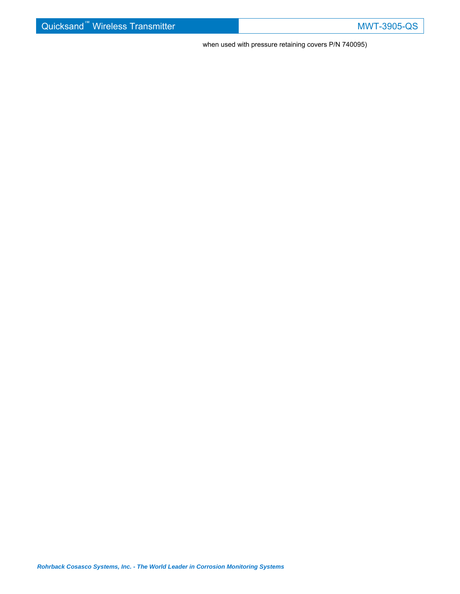when used with pressure retaining covers P/N 740095)